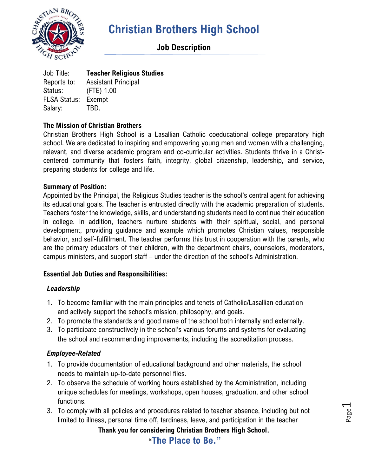

## **Job Description**

Job Title: **Teacher Religious Studies** Reports to: Assistant Principal Status: (FTE) 1.00 FLSA Status: Exempt Salary: TBD.

#### **The Mission of Christian Brothers**

Christian Brothers High School is a Lasallian Catholic coeducational college preparatory high school. We are dedicated to inspiring and empowering young men and women with a challenging, relevant, and diverse academic program and co-curricular activities. Students thrive in a Christcentered community that fosters faith, integrity, global citizenship, leadership, and service, preparing students for college and life.

#### **Summary of Position:**

Appointed by the Principal, the Religious Studies teacher is the school's central agent for achieving its educational goals. The teacher is entrusted directly with the academic preparation of students. Teachers foster the knowledge, skills, and understanding students need to continue their education in college. In addition, teachers nurture students with their spiritual, social, and personal development, providing guidance and example which promotes Christian values, responsible behavior, and self-fulfillment. The teacher performs this trust in cooperation with the parents, who are the primary educators of their children, with the department chairs, counselors, moderators, campus ministers, and support staff – under the direction of the school's Administration.

#### **Essential Job Duties and Responsibilities:**

#### *Leadership*

- 1. To become familiar with the main principles and tenets of Catholic/Lasallian education and actively support the school's mission, philosophy, and goals.
- 2. To promote the standards and good name of the school both internally and externally.
- 3. To participate constructively in the school's various forums and systems for evaluating the school and recommending improvements, including the accreditation process.

#### *Employee-Related*

- 1. To provide documentation of educational background and other materials, the school needs to maintain up-to-date personnel files.
- 2. To observe the schedule of working hours established by the Administration, including unique schedules for meetings, workshops, open houses, graduation, and other school functions.
- 3. To comply with all policies and procedures related to teacher absence, including but not limited to illness, personal time off, tardiness, leave, and participation in the teacher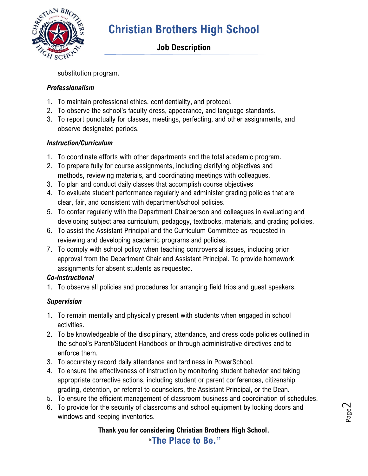

## **Job Description**

substitution program.

### *Professionalism*

- 1. To maintain professional ethics, confidentiality, and protocol.
- 2. To observe the school's faculty dress, appearance, and language standards.
- 3. To report punctually for classes, meetings, perfecting, and other assignments, and observe designated periods.

## *Instruction/Curriculum*

- 1. To coordinate efforts with other departments and the total academic program.
- 2. To prepare fully for course assignments, including clarifying objectives and methods, reviewing materials, and coordinating meetings with colleagues.
- 3. To plan and conduct daily classes that accomplish course objectives
- 4. To evaluate student performance regularly and administer grading policies that are clear, fair, and consistent with department/school policies.
- 5. To confer regularly with the Department Chairperson and colleagues in evaluating and developing subject area curriculum, pedagogy, textbooks, materials, and grading policies.
- 6. To assist the Assistant Principal and the Curriculum Committee as requested in reviewing and developing academic programs and policies.
- 7. To comply with school policy when teaching controversial issues, including prior approval from the Department Chair and Assistant Principal. To provide homework assignments for absent students as requested.

### *Co-Instructional*

1. To observe all policies and procedures for arranging field trips and guest speakers.

## *Supervision*

- 1. To remain mentally and physically present with students when engaged in school activities.
- 2. To be knowledgeable of the disciplinary, attendance, and dress code policies outlined in the school's Parent/Student Handbook or through administrative directives and to enforce them.
- 3. To accurately record daily attendance and tardiness in PowerSchool.
- 4. To ensure the effectiveness of instruction by monitoring student behavior and taking appropriate corrective actions, including student or parent conferences, citizenship grading, detention, or referral to counselors, the Assistant Principal, or the Dean.
- 5. To ensure the efficient management of classroom business and coordination of schedules.
- 6. To provide for the security of classrooms and school equipment by locking doors and windows and keeping inventories.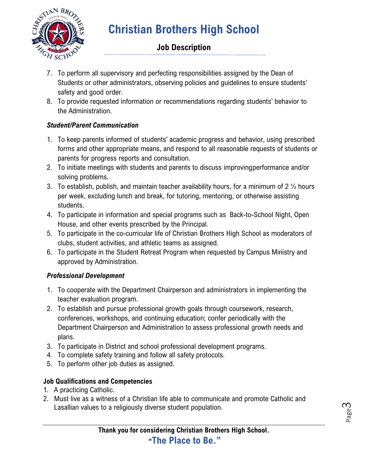

## **Job Description**

- 7. To perform all supervisory and perfecting responsibilities assigned by the Dean of Students or other administrators, observing policies and guidelines to ensure students' safety and good order.
- 8. To provide requested information or recommendations regarding students' behavior to the Administration.

### *Student/Parent Communication*

- 1. To keep parents informed of students' academic progress and behavior, using prescribed forms and other appropriate means, and respond to all reasonable requests of students or parents for progress reports and consultation.
- 2. To initiate meetings with students and parents to discuss improvingperformance and/or solving problems.
- 3. To establish, publish, and maintain teacher availability hours, for a minimum of 2  $\frac{1}{2}$  hours per week, excluding lunch and break, for tutoring, mentoring, or otherwise assisting students.
- 4. To participate in information and special programs such as Back-to-School Night, Open House, and other events prescribed by the Principal.
- 5. To participate in the co-curricular life of Christian Brothers High School as moderators of clubs, student activities, and athletic teams as assigned.
- 6. To participate in the Student Retreat Program when requested by Campus Ministry and approved by Administration.

### *Professional Development*

- 1. To cooperate with the Department Chairperson and administrators in implementing the teacher evaluation program.
- 2. To establish and pursue professional growth goals through coursework, research, conferences, workshops, and continuing education; confer periodically with the Department Chairperson and Administration to assess professional growth needs and plans.
- 3. To participate in District and school professional development programs.
- 4. To complete safety training and follow all safety protocols.
- 5. To perform other job duties as assigned.

## **Job Qualifications and Competencies**

- 1. A practicing Catholic.
- 2. Must live as a witness of a Christian life able to communicate and promote Catholic and Lasallian values to a religiously diverse student population.